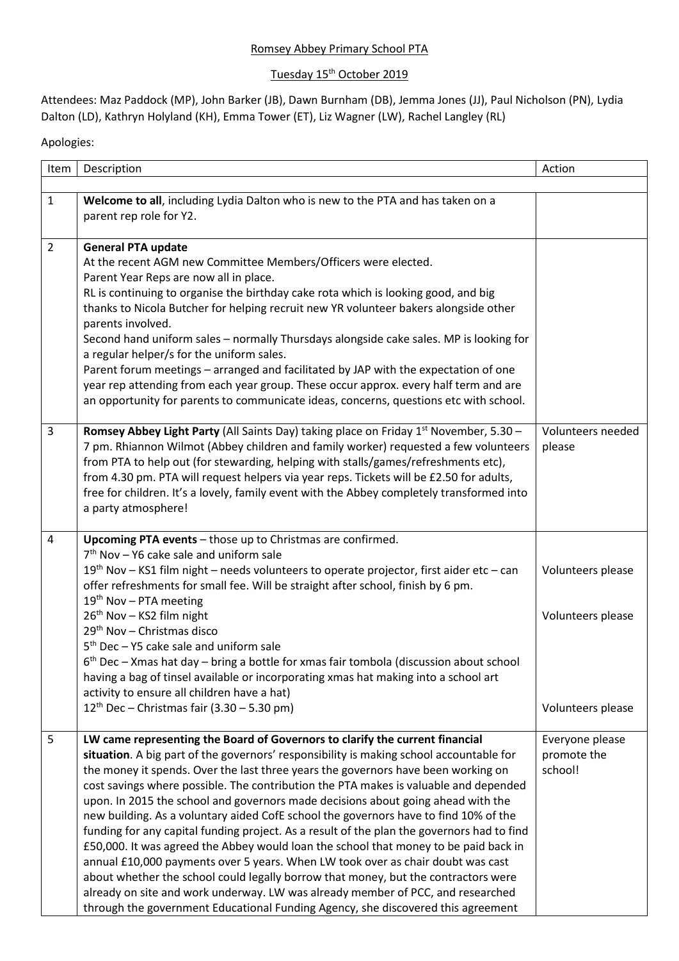## Romsey Abbey Primary School PTA

## Tuesday 15<sup>th</sup> October 2019

Attendees: Maz Paddock (MP), John Barker (JB), Dawn Burnham (DB), Jemma Jones (JJ), Paul Nicholson (PN), Lydia Dalton (LD), Kathryn Holyland (KH), Emma Tower (ET), Liz Wagner (LW), Rachel Langley (RL)

## Apologies:

| Item           | Description                                                                                                                                                                                                                                                                                                                                                                                                                                                                                                                                                                                                                                                                                                                                                                                                                                                                                                                                                                                                                                                            | Action                                                      |
|----------------|------------------------------------------------------------------------------------------------------------------------------------------------------------------------------------------------------------------------------------------------------------------------------------------------------------------------------------------------------------------------------------------------------------------------------------------------------------------------------------------------------------------------------------------------------------------------------------------------------------------------------------------------------------------------------------------------------------------------------------------------------------------------------------------------------------------------------------------------------------------------------------------------------------------------------------------------------------------------------------------------------------------------------------------------------------------------|-------------------------------------------------------------|
|                |                                                                                                                                                                                                                                                                                                                                                                                                                                                                                                                                                                                                                                                                                                                                                                                                                                                                                                                                                                                                                                                                        |                                                             |
| $\mathbf{1}$   | Welcome to all, including Lydia Dalton who is new to the PTA and has taken on a<br>parent rep role for Y2.                                                                                                                                                                                                                                                                                                                                                                                                                                                                                                                                                                                                                                                                                                                                                                                                                                                                                                                                                             |                                                             |
| $\overline{2}$ | <b>General PTA update</b><br>At the recent AGM new Committee Members/Officers were elected.<br>Parent Year Reps are now all in place.<br>RL is continuing to organise the birthday cake rota which is looking good, and big<br>thanks to Nicola Butcher for helping recruit new YR volunteer bakers alongside other<br>parents involved.<br>Second hand uniform sales - normally Thursdays alongside cake sales. MP is looking for<br>a regular helper/s for the uniform sales.<br>Parent forum meetings - arranged and facilitated by JAP with the expectation of one<br>year rep attending from each year group. These occur approx. every half term and are<br>an opportunity for parents to communicate ideas, concerns, questions etc with school.                                                                                                                                                                                                                                                                                                                |                                                             |
| 3              | Romsey Abbey Light Party (All Saints Day) taking place on Friday 1 <sup>st</sup> November, 5.30 -<br>7 pm. Rhiannon Wilmot (Abbey children and family worker) requested a few volunteers<br>from PTA to help out (for stewarding, helping with stalls/games/refreshments etc),<br>from 4.30 pm. PTA will request helpers via year reps. Tickets will be £2.50 for adults,<br>free for children. It's a lovely, family event with the Abbey completely transformed into<br>a party atmosphere!                                                                                                                                                                                                                                                                                                                                                                                                                                                                                                                                                                          | Volunteers needed<br>please                                 |
| 4              | Upcoming PTA events - those up to Christmas are confirmed.<br>7 <sup>th</sup> Nov - Y6 cake sale and uniform sale<br>$19th$ Nov – KS1 film night – needs volunteers to operate projector, first aider etc – can<br>offer refreshments for small fee. Will be straight after school, finish by 6 pm.<br>$19th$ Nov – PTA meeting<br>26 <sup>th</sup> Nov - KS2 film night<br>29 <sup>th</sup> Nov - Christmas disco<br>5 <sup>th</sup> Dec - Y5 cake sale and uniform sale<br>$6th$ Dec – Xmas hat day – bring a bottle for xmas fair tombola (discussion about school<br>having a bag of tinsel available or incorporating xmas hat making into a school art<br>activity to ensure all children have a hat)<br>$12^{th}$ Dec – Christmas fair (3.30 – 5.30 pm)                                                                                                                                                                                                                                                                                                         | Volunteers please<br>Volunteers please<br>Volunteers please |
| 5              | LW came representing the Board of Governors to clarify the current financial<br>situation. A big part of the governors' responsibility is making school accountable for<br>the money it spends. Over the last three years the governors have been working on<br>cost savings where possible. The contribution the PTA makes is valuable and depended<br>upon. In 2015 the school and governors made decisions about going ahead with the<br>new building. As a voluntary aided CofE school the governors have to find 10% of the<br>funding for any capital funding project. As a result of the plan the governors had to find<br>£50,000. It was agreed the Abbey would loan the school that money to be paid back in<br>annual £10,000 payments over 5 years. When LW took over as chair doubt was cast<br>about whether the school could legally borrow that money, but the contractors were<br>already on site and work underway. LW was already member of PCC, and researched<br>through the government Educational Funding Agency, she discovered this agreement | Everyone please<br>promote the<br>school!                   |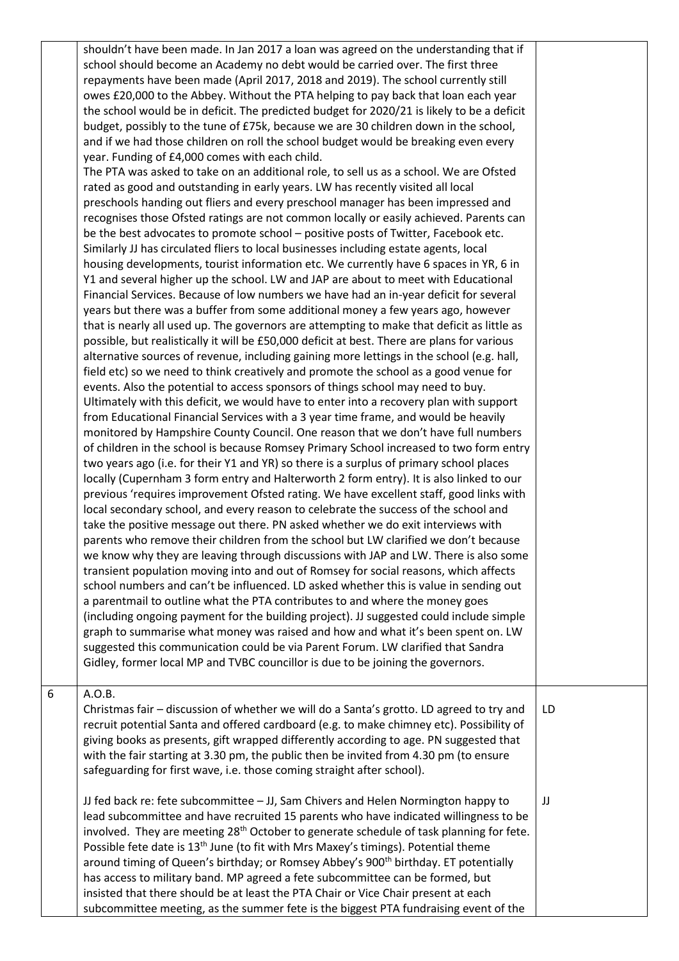|   | shouldn't have been made. In Jan 2017 a loan was agreed on the understanding that if<br>school should become an Academy no debt would be carried over. The first three<br>repayments have been made (April 2017, 2018 and 2019). The school currently still<br>owes £20,000 to the Abbey. Without the PTA helping to pay back that loan each year<br>the school would be in deficit. The predicted budget for 2020/21 is likely to be a deficit<br>budget, possibly to the tune of £75k, because we are 30 children down in the school,<br>and if we had those children on roll the school budget would be breaking even every<br>year. Funding of £4,000 comes with each child.<br>The PTA was asked to take on an additional role, to sell us as a school. We are Ofsted<br>rated as good and outstanding in early years. LW has recently visited all local<br>preschools handing out fliers and every preschool manager has been impressed and<br>recognises those Ofsted ratings are not common locally or easily achieved. Parents can<br>be the best advocates to promote school – positive posts of Twitter, Facebook etc.<br>Similarly JJ has circulated fliers to local businesses including estate agents, local<br>housing developments, tourist information etc. We currently have 6 spaces in YR, 6 in<br>Y1 and several higher up the school. LW and JAP are about to meet with Educational<br>Financial Services. Because of low numbers we have had an in-year deficit for several<br>years but there was a buffer from some additional money a few years ago, however<br>that is nearly all used up. The governors are attempting to make that deficit as little as<br>possible, but realistically it will be £50,000 deficit at best. There are plans for various<br>alternative sources of revenue, including gaining more lettings in the school (e.g. hall,<br>field etc) so we need to think creatively and promote the school as a good venue for<br>events. Also the potential to access sponsors of things school may need to buy.<br>Ultimately with this deficit, we would have to enter into a recovery plan with support<br>from Educational Financial Services with a 3 year time frame, and would be heavily<br>monitored by Hampshire County Council. One reason that we don't have full numbers<br>of children in the school is because Romsey Primary School increased to two form entry<br>two years ago (i.e. for their Y1 and YR) so there is a surplus of primary school places<br>locally (Cupernham 3 form entry and Halterworth 2 form entry). It is also linked to our<br>previous 'requires improvement Ofsted rating. We have excellent staff, good links with<br>local secondary school, and every reason to celebrate the success of the school and<br>take the positive message out there. PN asked whether we do exit interviews with<br>parents who remove their children from the school but LW clarified we don't because<br>we know why they are leaving through discussions with JAP and LW. There is also some<br>transient population moving into and out of Romsey for social reasons, which affects<br>school numbers and can't be influenced. LD asked whether this is value in sending out<br>a parentmail to outline what the PTA contributes to and where the money goes<br>(including ongoing payment for the building project). JJ suggested could include simple<br>graph to summarise what money was raised and how and what it's been spent on. LW<br>suggested this communication could be via Parent Forum. LW clarified that Sandra<br>Gidley, former local MP and TVBC councillor is due to be joining the governors. |    |
|---|---------------------------------------------------------------------------------------------------------------------------------------------------------------------------------------------------------------------------------------------------------------------------------------------------------------------------------------------------------------------------------------------------------------------------------------------------------------------------------------------------------------------------------------------------------------------------------------------------------------------------------------------------------------------------------------------------------------------------------------------------------------------------------------------------------------------------------------------------------------------------------------------------------------------------------------------------------------------------------------------------------------------------------------------------------------------------------------------------------------------------------------------------------------------------------------------------------------------------------------------------------------------------------------------------------------------------------------------------------------------------------------------------------------------------------------------------------------------------------------------------------------------------------------------------------------------------------------------------------------------------------------------------------------------------------------------------------------------------------------------------------------------------------------------------------------------------------------------------------------------------------------------------------------------------------------------------------------------------------------------------------------------------------------------------------------------------------------------------------------------------------------------------------------------------------------------------------------------------------------------------------------------------------------------------------------------------------------------------------------------------------------------------------------------------------------------------------------------------------------------------------------------------------------------------------------------------------------------------------------------------------------------------------------------------------------------------------------------------------------------------------------------------------------------------------------------------------------------------------------------------------------------------------------------------------------------------------------------------------------------------------------------------------------------------------------------------------------------------------------------------------------------------------------------------------------------------------------------------------------------------------------------------------------------------------------------------------------------------------------------------------------------------------------------------------------------------------------------------------------------------------------------------------------------------------------------------------------------------------------------------------------------------------------------------------------------|----|
| 6 | A.O.B.<br>Christmas fair - discussion of whether we will do a Santa's grotto. LD agreed to try and<br>recruit potential Santa and offered cardboard (e.g. to make chimney etc). Possibility of<br>giving books as presents, gift wrapped differently according to age. PN suggested that<br>with the fair starting at 3.30 pm, the public then be invited from 4.30 pm (to ensure<br>safeguarding for first wave, i.e. those coming straight after school).                                                                                                                                                                                                                                                                                                                                                                                                                                                                                                                                                                                                                                                                                                                                                                                                                                                                                                                                                                                                                                                                                                                                                                                                                                                                                                                                                                                                                                                                                                                                                                                                                                                                                                                                                                                                                                                                                                                                                                                                                                                                                                                                                                                                                                                                                                                                                                                                                                                                                                                                                                                                                                                                                                                                                                                                                                                                                                                                                                                                                                                                                                                                                                                                                                 | LD |
|   | JJ fed back re: fete subcommittee - JJ, Sam Chivers and Helen Normington happy to<br>lead subcommittee and have recruited 15 parents who have indicated willingness to be<br>involved. They are meeting 28 <sup>th</sup> October to generate schedule of task planning for fete.<br>Possible fete date is 13 <sup>th</sup> June (to fit with Mrs Maxey's timings). Potential theme<br>around timing of Queen's birthday; or Romsey Abbey's 900 <sup>th</sup> birthday. ET potentially<br>has access to military band. MP agreed a fete subcommittee can be formed, but<br>insisted that there should be at least the PTA Chair or Vice Chair present at each<br>subcommittee meeting, as the summer fete is the biggest PTA fundraising event of the                                                                                                                                                                                                                                                                                                                                                                                                                                                                                                                                                                                                                                                                                                                                                                                                                                                                                                                                                                                                                                                                                                                                                                                                                                                                                                                                                                                                                                                                                                                                                                                                                                                                                                                                                                                                                                                                                                                                                                                                                                                                                                                                                                                                                                                                                                                                                                                                                                                                                                                                                                                                                                                                                                                                                                                                                                                                                                                                        | JJ |